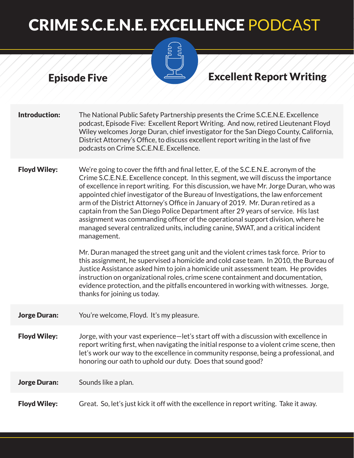

### Episode Five Albert Albert Excellent Report Writing

**Introduction:** The National Public Safety Partnership presents the Crime S.C.E.N.E. Excellence podcast, Episode Five: Excellent Report Writing. And now, retired Lieutenant Floyd Wiley welcomes Jorge Duran, chief investigator for the San Diego County, California, District Attorney's Office, to discuss excellent report writing in the last of five podcasts on Crime S.C.E.N.E. Excellence.

**Floyd Wiley:** We're going to cover the fifth and final letter, E, of the S.C.E.N.E. acronym of the Crime S.C.E.N.E. Excellence concept. In this segment, we will discuss the importance of excellence in report writing. For this discussion, we have Mr. Jorge Duran, who was appointed chief investigator of the Bureau of Investigations, the law enforcement arm of the District Attorney's Office in January of 2019. Mr. Duran retired as a captain from the San Diego Police Department after 29 years of service. His last assignment was commanding officer of the operational support division, where he managed several centralized units, including canine, SWAT, and a critical incident management.

> Mr. Duran managed the street gang unit and the violent crimes task force. Prior to this assignment, he supervised a homicide and cold case team. In 2010, the Bureau of Justice Assistance asked him to join a homicide unit assessment team. He provides instruction on organizational roles, crime scene containment and documentation, evidence protection, and the pitfalls encountered in working with witnesses. Jorge, thanks for joining us today.

**Jorge Duran:** You're welcome, Floyd. It's my pleasure.

Floyd Wiley: Jorge, with your vast experience—let's start off with a discussion with excellence in report writing first, when navigating the initial response to a violent crime scene, then let's work our way to the excellence in community response, being a professional, and honoring our oath to uphold our duty. Does that sound good?

**Jorge Duran:** Sounds like a plan.

Floyd Wiley: Great. So, let's just kick it off with the excellence in report writing. Take it away.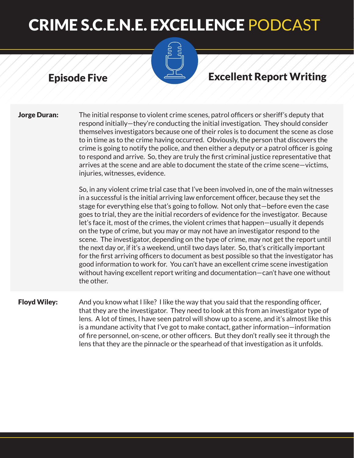

### Episode Five Albert Albert Excellent Report Writing

**Jorge Duran:** The initial response to violent crime scenes, patrol officers or sheriff's deputy that respond initially—they're conducting the initial investigation. They should consider themselves investigators because one of their roles is to document the scene as close to in time as to the crime having occurred. Obviously, the person that discovers the crime is going to notify the police, and then either a deputy or a patrol officer is going to respond and arrive. So, they are truly the first criminal justice representative that arrives at the scene and are able to document the state of the crime scene—victims, injuries, witnesses, evidence.

> So, in any violent crime trial case that I've been involved in, one of the main witnesses in a successful is the initial arriving law enforcement officer, because they set the stage for everything else that's going to follow. Not only that—before even the case goes to trial, they are the initial recorders of evidence for the investigator. Because let's face it, most of the crimes, the violent crimes that happen—usually it depends on the type of crime, but you may or may not have an investigator respond to the scene. The investigator, depending on the type of crime, may not get the report until the next day or, if it's a weekend, until two days later. So, that's critically important for the first arriving officers to document as best possible so that the investigator has good information to work for. You can't have an excellent crime scene investigation without having excellent report writing and documentation—can't have one without the other.

**Floyd Wiley:** And you know what I like? I like the way that you said that the responding officer, that they are the investigator. They need to look at this from an investigator type of lens. A lot of times, I have seen patrol will show up to a scene, and it's almost like this is a mundane activity that I've got to make contact, gather information—information of fire personnel, on-scene, or other officers. But they don't really see it through the lens that they are the pinnacle or the spearhead of that investigation as it unfolds.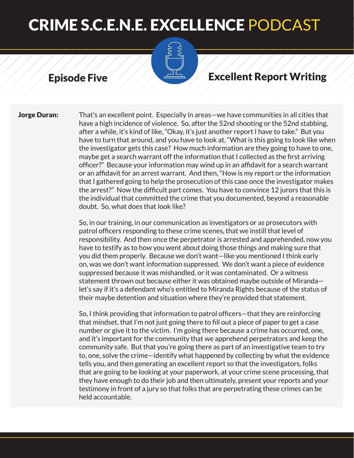

### Episode Five Albert Albert Excellent Report Writing

**Jorge Duran:** That's an excellent point. Especially in areas—we have communities in all cities that have a high incidence of violence. So, after the 52nd shooting or the 52nd stabbing, after a while, it's kind of like, "Okay, it's just another report I have to take." But you have to turn that around, and you have to look at, "What is this going to look like when the investigator gets this case? How much information are they going to have to one, maybe get a search warrant off the information that I collected as the first arriving officer?" Because your information may wind up in an affidavit for a search warrant or an affidavit for an arrest warrant. And then, "How is my report or the information that I gathered going to help the prosecution of this case once the investigator makes the arrest?" Now the difficult part comes. You have to convince 12 jurors that this is the individual that committed the crime that you documented, beyond a reasonable doubt. So, what does that look like?

> So, in our training, in our communication as investigators or as prosecutors with patrol officers responding to these crime scenes, that we instill that level of responsibility. And then once the perpetrator is arrested and apprehended, now you have to testify as to how you went about doing those things and making sure that you did them properly. Because we don't want—like you mentioned I think early on, was we don't want information suppressed. We don't want a piece of evidence suppressed because it was mishandled, or it was contaminated. Or a witness statement thrown out because either it was obtained maybe outside of Miranda let's say if it's a defendant who's entitled to Miranda Rights because of the status of their maybe detention and situation where they're provided that statement.

> So, I think providing that information to patrol officers—that they are reinforcing that mindset, that I'm not just going there to fill out a piece of paper to get a case number or give it to the victim. I'm going there because a crime has occurred, one, and it's important for the community that we apprehend perpetrators and keep the community safe. But that you're going there as part of an investigative team to try to, one, solve the crime—identify what happened by collecting by what the evidence tells you, and then generating an excellent report so that the investigators, folks that are going to be looking at your paperwork, at your crime scene processing, that they have enough to do their job and then ultimately, present your reports and your testimony in front of a jury so that folks that are perpetrating these crimes can be held accountable.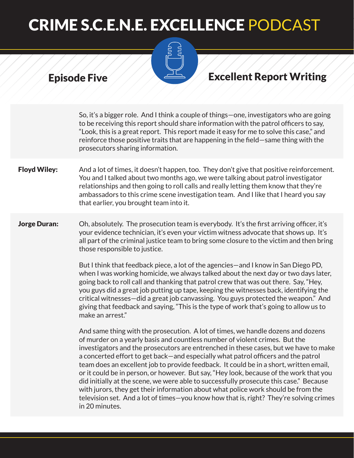

## Episode Five Albert Albert Excellent Report Writing

So, it's a bigger role. And I think a couple of things—one, investigators who are going to be receiving this report should share information with the patrol officers to say, "Look, this is a great report. This report made it easy for me to solve this case," and reinforce those positive traits that are happening in the field—same thing with the prosecutors sharing information.

### **Floyd Wiley:** And a lot of times, it doesn't happen, too. They don't give that positive reinforcement. You and I talked about two months ago, we were talking about patrol investigator relationships and then going to roll calls and really letting them know that they're ambassadors to this crime scene investigation team. And I like that I heard you say that earlier, you brought team into it.

### **Jorge Duran:** Oh, absolutely. The prosecution team is everybody. It's the first arriving officer, it's your evidence technician, it's even your victim witness advocate that shows up. It's all part of the criminal justice team to bring some closure to the victim and then bring those responsible to justice.

But I think that feedback piece, a lot of the agencies—and I know in San Diego PD, when I was working homicide, we always talked about the next day or two days later, going back to roll call and thanking that patrol crew that was out there. Say, "Hey, you guys did a great job putting up tape, keeping the witnesses back, identifying the critical witnesses—did a great job canvassing. You guys protected the weapon." And giving that feedback and saying, "This is the type of work that's going to allow us to make an arrest."

And same thing with the prosecution. A lot of times, we handle dozens and dozens of murder on a yearly basis and countless number of violent crimes. But the investigators and the prosecutors are entrenched in these cases, but we have to make a concerted effort to get back—and especially what patrol officers and the patrol team does an excellent job to provide feedback. It could be in a short, written email, or it could be in person, or however. But say, "Hey look, because of the work that you did initially at the scene, we were able to successfully prosecute this case." Because with jurors, they get their information about what police work should be from the television set. And a lot of times—you know how that is, right? They're solving crimes in 20 minutes.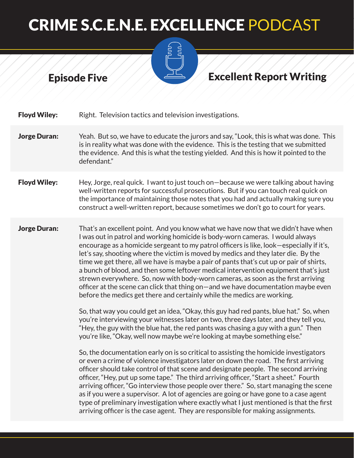



**Floyd Wiley:** Right. Television tactics and television investigations.

- **Jorge Duran:** Yeah. But so, we have to educate the jurors and say, "Look, this is what was done. This is in reality what was done with the evidence. This is the testing that we submitted the evidence. And this is what the testing yielded. And this is how it pointed to the defendant."
- Floyd Wiley: Hey, Jorge, real quick. I want to just touch on—because we were talking about having well-written reports for successful prosecutions. But if you can touch real quick on the importance of maintaining those notes that you had and actually making sure you construct a well-written report, because sometimes we don't go to court for years.
- **Jorge Duran:** That's an excellent point. And you know what we have now that we didn't have when I was out in patrol and working homicide is body-worn cameras. I would always encourage as a homicide sergeant to my patrol officers is like, look—especially if it's, let's say, shooting where the victim is moved by medics and they later die. By the time we get there, all we have is maybe a pair of pants that's cut up or pair of shirts, a bunch of blood, and then some leftover medical intervention equipment that's just strewn everywhere. So, now with body-worn cameras, as soon as the first arriving officer at the scene can click that thing on—and we have documentation maybe even before the medics get there and certainly while the medics are working.

So, that way you could get an idea, "Okay, this guy had red pants, blue hat." So, when you're interviewing your witnesses later on two, three days later, and they tell you, "Hey, the guy with the blue hat, the red pants was chasing a guy with a gun." Then you're like, "Okay, well now maybe we're looking at maybe something else."

So, the documentation early on is so critical to assisting the homicide investigators or even a crime of violence investigators later on down the road. The first arriving officer should take control of that scene and designate people. The second arriving officer, "Hey, put up some tape." The third arriving officer, "Start a sheet." Fourth arriving officer, "Go interview those people over there." So, start managing the scene as if you were a supervisor. A lot of agencies are going or have gone to a case agent type of preliminary investigation where exactly what I just mentioned is that the first arriving officer is the case agent. They are responsible for making assignments.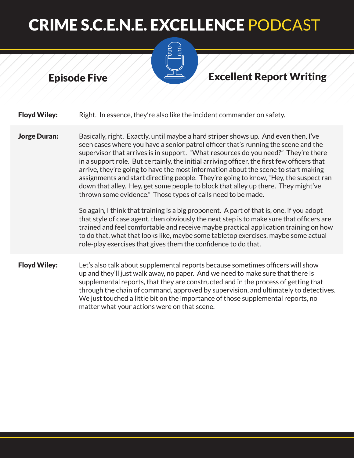

### Episode Five Albert Albert Excellent Report Writing

**Floyd Wiley:** Right. In essence, they're also like the incident commander on safety.

**Jorge Duran:** Basically, right. Exactly, until maybe a hard striper shows up. And even then, I've seen cases where you have a senior patrol officer that's running the scene and the supervisor that arrives is in support. "What resources do you need?" They're there in a support role. But certainly, the initial arriving officer, the first few officers that arrive, they're going to have the most information about the scene to start making assignments and start directing people. They're going to know, "Hey, the suspect ran down that alley. Hey, get some people to block that alley up there. They might've thrown some evidence." Those types of calls need to be made.

> So again, I think that training is a big proponent. A part of that is, one, if you adopt that style of case agent, then obviously the next step is to make sure that officers are trained and feel comfortable and receive maybe practical application training on how to do that, what that looks like, maybe some tabletop exercises, maybe some actual role-play exercises that gives them the confidence to do that.

**Floyd Wiley:** Let's also talk about supplemental reports because sometimes officers will show up and they'll just walk away, no paper. And we need to make sure that there is supplemental reports, that they are constructed and in the process of getting that through the chain of command, approved by supervision, and ultimately to detectives. We just touched a little bit on the importance of those supplemental reports, no matter what your actions were on that scene.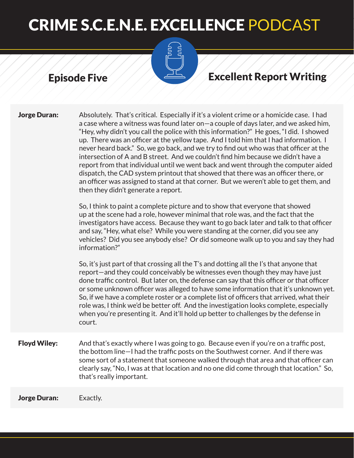

## Episode Five All Excellent Report Writing

| <b>Jorge Duran:</b> | Absolutely. That's critical. Especially if it's a violent crime or a homicide case. I had<br>a case where a witness was found later on-a couple of days later, and we asked him,<br>"Hey, why didn't you call the police with this information?" He goes, "I did. I showed<br>up. There was an officer at the yellow tape. And I told him that I had information. I<br>never heard back." So, we go back, and we try to find out who was that officer at the<br>intersection of A and B street. And we couldn't find him because we didn't have a<br>report from that individual until we went back and went through the computer aided<br>dispatch, the CAD system printout that showed that there was an officer there, or<br>an officer was assigned to stand at that corner. But we weren't able to get them, and<br>then they didn't generate a report.<br>So, I think to paint a complete picture and to show that everyone that showed<br>up at the scene had a role, however minimal that role was, and the fact that the<br>investigators have access. Because they want to go back later and talk to that officer<br>and say, "Hey, what else? While you were standing at the corner, did you see any<br>vehicles? Did you see anybody else? Or did someone walk up to you and say they had<br>information?" |
|---------------------|------------------------------------------------------------------------------------------------------------------------------------------------------------------------------------------------------------------------------------------------------------------------------------------------------------------------------------------------------------------------------------------------------------------------------------------------------------------------------------------------------------------------------------------------------------------------------------------------------------------------------------------------------------------------------------------------------------------------------------------------------------------------------------------------------------------------------------------------------------------------------------------------------------------------------------------------------------------------------------------------------------------------------------------------------------------------------------------------------------------------------------------------------------------------------------------------------------------------------------------------------------------------------------------------------------------------|
|                     | So, it's just part of that crossing all the T's and dotting all the I's that anyone that<br>report—and they could conceivably be witnesses even though they may have just<br>done traffic control. But later on, the defense can say that this officer or that officer<br>or some unknown officer was alleged to have some information that it's unknown yet.<br>So, if we have a complete roster or a complete list of officers that arrived, what their<br>role was, I think we'd be better off. And the investigation looks complete, especially<br>when you're presenting it. And it'll hold up better to challenges by the defense in<br>court.                                                                                                                                                                                                                                                                                                                                                                                                                                                                                                                                                                                                                                                                   |
| <b>Floyd Wiley:</b> | And that's exactly where I was going to go. Because even if you're on a traffic post,<br>the bottom line-I had the traffic posts on the Southwest corner. And if there was<br>some sort of a statement that someone walked through that area and that officer can<br>clearly say, "No, I was at that location and no one did come through that location." So,<br>that's really important.                                                                                                                                                                                                                                                                                                                                                                                                                                                                                                                                                                                                                                                                                                                                                                                                                                                                                                                              |
| <b>Jorge Duran:</b> | Exactly.                                                                                                                                                                                                                                                                                                                                                                                                                                                                                                                                                                                                                                                                                                                                                                                                                                                                                                                                                                                                                                                                                                                                                                                                                                                                                                               |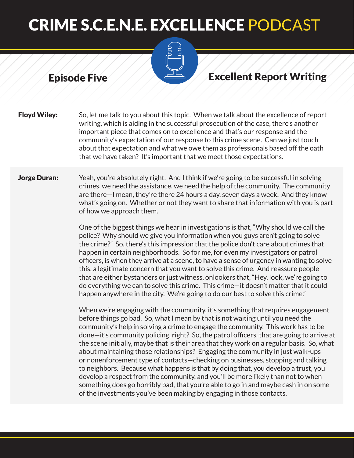

### Episode Five Albert Albert Excellent Report Writing

Floyd Wiley: So, let me talk to you about this topic. When we talk about the excellence of report writing, which is aiding in the successful prosecution of the case, there's another important piece that comes on to excellence and that's our response and the community's expectation of our response to this crime scene. Can we just touch about that expectation and what we owe them as professionals based off the oath that we have taken? It's important that we meet those expectations.

### **Jorge Duran:** Yeah, you're absolutely right. And I think if we're going to be successful in solving crimes, we need the assistance, we need the help of the community. The community are there—I mean, they're there 24 hours a day, seven days a week. And they know what's going on. Whether or not they want to share that information with you is part of how we approach them.

One of the biggest things we hear in investigations is that, "Why should we call the police? Why should we give you information when you guys aren't going to solve the crime?" So, there's this impression that the police don't care about crimes that happen in certain neighborhoods. So for me, for even my investigators or patrol officers, is when they arrive at a scene, to have a sense of urgency in wanting to solve this, a legitimate concern that you want to solve this crime. And reassure people that are either bystanders or just witness, onlookers that, "Hey, look, we're going to do everything we can to solve this crime. This crime—it doesn't matter that it could happen anywhere in the city. We're going to do our best to solve this crime."

When we're engaging with the community, it's something that requires engagement before things go bad. So, what I mean by that is not waiting until you need the community's help in solving a crime to engage the community. This work has to be done—it's community policing, right? So, the patrol officers, that are going to arrive at the scene initially, maybe that is their area that they work on a regular basis. So, what about maintaining those relationships? Engaging the community in just walk-ups or nonenforcement type of contacts—checking on businesses, stopping and talking to neighbors. Because what happens is that by doing that, you develop a trust, you develop a respect from the community, and you'll be more likely than not to when something does go horribly bad, that you're able to go in and maybe cash in on some of the investments you've been making by engaging in those contacts.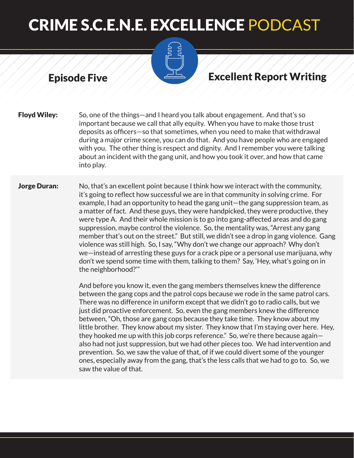

### Episode Five Albert Albert Excellent Report Writing

Floyd Wiley: So, one of the things—and I heard you talk about engagement. And that's so important because we call that ally equity. When you have to make those trust deposits as officers—so that sometimes, when you need to make that withdrawal during a major crime scene, you can do that. And you have people who are engaged with you. The other thing is respect and dignity. And I remember you were talking about an incident with the gang unit, and how you took it over, and how that came into play.

**Jorge Duran:** No, that's an excellent point because I think how we interact with the community, it's going to reflect how successful we are in that community in solving crime. For example, I had an opportunity to head the gang unit—the gang suppression team, as a matter of fact. And these guys, they were handpicked, they were productive, they were type A. And their whole mission is to go into gang-affected areas and do gang suppression, maybe control the violence. So, the mentality was, "Arrest any gang member that's out on the street." But still, we didn't see a drop in gang violence. Gang violence was still high. So, I say, "Why don't we change our approach? Why don't we—instead of arresting these guys for a crack pipe or a personal use marijuana, why don't we spend some time with them, talking to them? Say, 'Hey, what's going on in the neighborhood?'"

> And before you know it, even the gang members themselves knew the difference between the gang cops and the patrol cops because we rode in the same patrol cars. There was no difference in uniform except that we didn't go to radio calls, but we just did proactive enforcement. So, even the gang members knew the difference between, "Oh, those are gang cops because they take time. They know about my little brother. They know about my sister. They know that I'm staying over here. Hey, they hooked me up with this job corps reference." So, we're there because again also had not just suppression, but we had other pieces too. We had intervention and prevention. So, we saw the value of that, of if we could divert some of the younger ones, especially away from the gang, that's the less calls that we had to go to. So, we saw the value of that.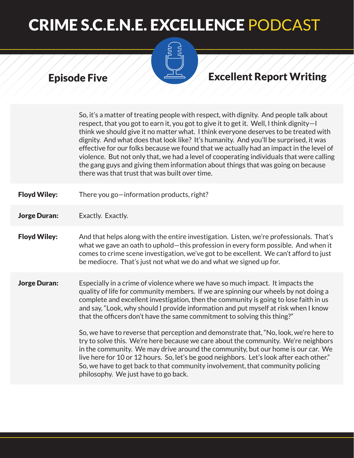

### Episode Five Albert Albert Excellent Report Writing

So, it's a matter of treating people with respect, with dignity. And people talk about respect, that you got to earn it, you got to give it to get it. Well, I think dignity—I think we should give it no matter what. I think everyone deserves to be treated with dignity. And what does that look like? It's humanity. And you'll be surprised, it was effective for our folks because we found that we actually had an impact in the level of violence. But not only that, we had a level of cooperating individuals that were calling the gang guys and giving them information about things that was going on because there was that trust that was built over time.

- Floyd Wiley: There you go—information products, right?
- **Jorge Duran:** Exactly. Exactly.
- Floyd Wiley: And that helps along with the entire investigation. Listen, we're professionals. That's what we gave an oath to uphold—this profession in every form possible. And when it comes to crime scene investigation, we've got to be excellent. We can't afford to just be mediocre. That's just not what we do and what we signed up for.
- **Jorge Duran:** Especially in a crime of violence where we have so much impact. It impacts the quality of life for community members. If we are spinning our wheels by not doing a complete and excellent investigation, then the community is going to lose faith in us and say, "Look, why should I provide information and put myself at risk when I know that the officers don't have the same commitment to solving this thing?"

So, we have to reverse that perception and demonstrate that, "No, look, we're here to try to solve this. We're here because we care about the community. We're neighbors in the community. We may drive around the community, but our home is our car. We live here for 10 or 12 hours. So, let's be good neighbors. Let's look after each other." So, we have to get back to that community involvement, that community policing philosophy. We just have to go back.